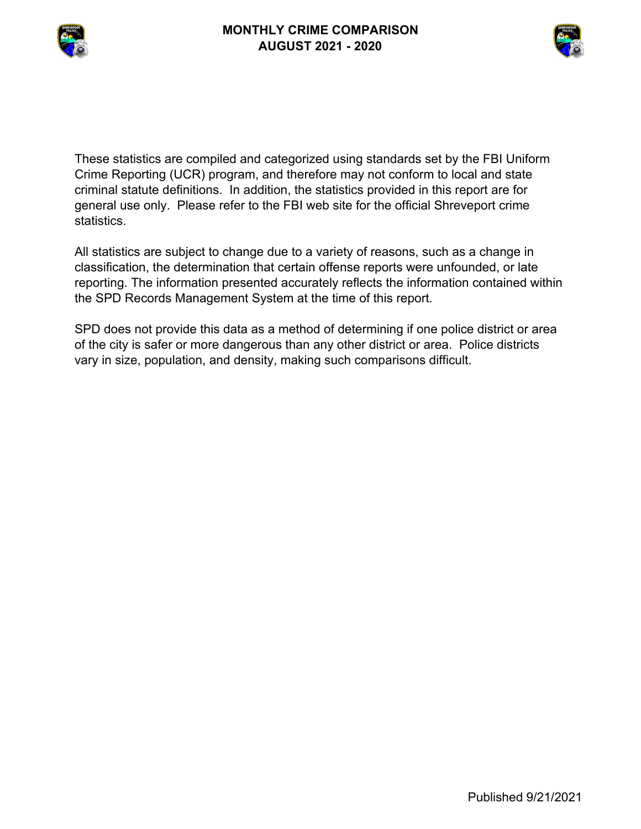



These statistics are compiled and categorized using standards set by the FBI Uniform Crime Reporting (UCR) program, and therefore may not conform to local and state criminal statute definitions. In addition, the statistics provided in this report are for general use only. Please refer to the FBI web site for the official Shreveport crime statistics.

All statistics are subject to change due to a variety of reasons, such as a change in classification, the determination that certain offense reports were unfounded, or late reporting. The information presented accurately reflects the information contained within the SPD Records Management System at the time of this report.

SPD does not provide this data as a method of determining if one police district or area of the city is safer or more dangerous than any other district or area. Police districts vary in size, population, and density, making such comparisons difficult.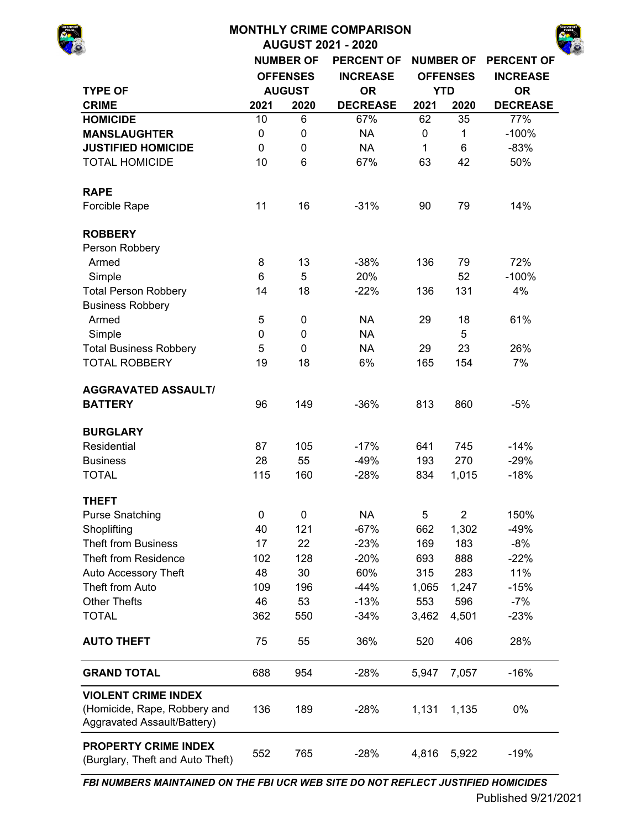|                                                                                           |             |                  | <b>MONTHLY CRIME COMPARISON</b><br><b>AUGUST 2021 - 2020</b> |       |                  |                   |
|-------------------------------------------------------------------------------------------|-------------|------------------|--------------------------------------------------------------|-------|------------------|-------------------|
|                                                                                           |             | <b>NUMBER OF</b> | <b>PERCENT OF</b>                                            |       | <b>NUMBER OF</b> | <b>PERCENT OF</b> |
|                                                                                           |             | <b>OFFENSES</b>  | <b>INCREASE</b>                                              |       | <b>OFFENSES</b>  | <b>INCREASE</b>   |
| <b>TYPE OF</b>                                                                            |             | <b>AUGUST</b>    | <b>OR</b>                                                    |       | <b>YTD</b>       | <b>OR</b>         |
| <b>CRIME</b>                                                                              | 2021        | 2020             | <b>DECREASE</b>                                              | 2021  | 2020             | <b>DECREASE</b>   |
| <b>HOMICIDE</b>                                                                           | 10          | 6                | 67%                                                          | 62    | 35               | 77%               |
| <b>MANSLAUGHTER</b>                                                                       | $\pmb{0}$   | $\boldsymbol{0}$ | <b>NA</b>                                                    | 0     | 1                | $-100%$           |
| <b>JUSTIFIED HOMICIDE</b>                                                                 | $\mathbf 0$ | 0                | <b>NA</b>                                                    | 1     | 6                | $-83%$            |
| <b>TOTAL HOMICIDE</b>                                                                     | 10          | 6                | 67%                                                          | 63    | 42               | 50%               |
| <b>RAPE</b>                                                                               |             |                  |                                                              |       |                  |                   |
| Forcible Rape                                                                             | 11          | 16               | $-31%$                                                       | 90    | 79               | 14%               |
| <b>ROBBERY</b>                                                                            |             |                  |                                                              |       |                  |                   |
| Person Robbery                                                                            |             |                  |                                                              |       |                  |                   |
| Armed                                                                                     | 8           | 13               | $-38%$                                                       | 136   | 79               | 72%               |
| Simple                                                                                    | 6           | 5                | 20%                                                          |       | 52               | $-100%$           |
| <b>Total Person Robbery</b>                                                               | 14          | 18               | $-22%$                                                       | 136   | 131              | 4%                |
| <b>Business Robbery</b>                                                                   |             |                  |                                                              |       |                  |                   |
| Armed                                                                                     | 5           | $\pmb{0}$        | <b>NA</b>                                                    | 29    | 18               | 61%               |
| Simple                                                                                    | 0           | $\mathbf 0$      | <b>NA</b>                                                    |       | 5                |                   |
| <b>Total Business Robbery</b>                                                             | 5           | 0                | <b>NA</b>                                                    | 29    | 23               | 26%               |
| <b>TOTAL ROBBERY</b>                                                                      | 19          | 18               | 6%                                                           | 165   | 154              | 7%                |
| <b>AGGRAVATED ASSAULT/</b>                                                                |             |                  |                                                              |       |                  |                   |
| <b>BATTERY</b>                                                                            | 96          | 149              | $-36%$                                                       | 813   | 860              | $-5%$             |
| <b>BURGLARY</b>                                                                           |             |                  |                                                              |       |                  |                   |
| Residential                                                                               | 87          | 105              | $-17%$                                                       | 641   | 745              | $-14%$            |
| <b>Business</b>                                                                           | 28          | 55               | $-49%$                                                       | 193   | 270              | $-29%$            |
| <b>TOTAL</b>                                                                              | 115         | 160              | $-28%$                                                       | 834   | 1,015            | $-18%$            |
| <b>THEFT</b>                                                                              |             |                  |                                                              |       |                  |                   |
| <b>Purse Snatching</b>                                                                    | $\mathbf 0$ | $\mathbf 0$      | <b>NA</b>                                                    | 5     | $\overline{2}$   | 150%              |
| Shoplifting                                                                               | 40          | 121              | $-67%$                                                       | 662   | 1,302            | $-49%$            |
| <b>Theft from Business</b>                                                                | 17          | 22               | $-23%$                                                       | 169   | 183              | $-8%$             |
| <b>Theft from Residence</b>                                                               | 102         | 128              | $-20%$                                                       | 693   | 888              | $-22%$            |
| Auto Accessory Theft                                                                      | 48          | 30               | 60%                                                          | 315   | 283              | 11%               |
| Theft from Auto                                                                           | 109         | 196              | $-44%$                                                       | 1,065 | 1,247            | $-15%$            |
| <b>Other Thefts</b>                                                                       | 46          | 53               | $-13%$                                                       | 553   | 596              | $-7%$             |
| <b>TOTAL</b>                                                                              | 362         | 550              | $-34%$                                                       | 3,462 | 4,501            | $-23%$            |
| <b>AUTO THEFT</b>                                                                         | 75          | 55               | 36%                                                          | 520   | 406              | 28%               |
| <b>GRAND TOTAL</b>                                                                        | 688         | 954              | $-28%$                                                       | 5,947 | 7,057            | $-16%$            |
| <b>VIOLENT CRIME INDEX</b><br>(Homicide, Rape, Robbery and<br>Aggravated Assault/Battery) | 136         | 189              | $-28%$                                                       | 1,131 | 1,135            | 0%                |
| <b>PROPERTY CRIME INDEX</b><br>$T_{h}$ $\sim$ $f_4$ )                                     | 552         | 765              | $-28%$                                                       | 4,816 | 5,922            | $-19%$            |

*FBI NUMBERS MAINTAINED ON THE FBI UCR WEB SITE DO NOT REFLECT JUSTIFIED HOMICIDES*

(Burglary, Theft and Auto Theft)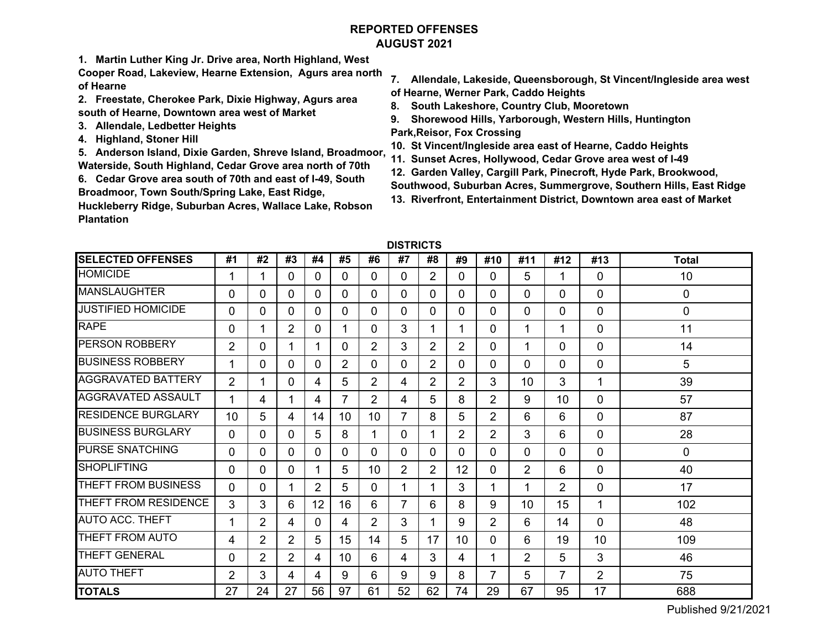# **REPORTED OFFENSESAUGUST 2021**

**1. Martin Luther King Jr. Drive area, North Highland, West** 

**Cooper Road, Lakeview, Hearne Extension, Agurs area north of Hearne**

- **2. Freestate, Cherokee Park, Dixie Highway, Agurs area south of Hearne, Downtown area west of Market**
- **3. Allendale, Ledbetter Heights**
- **4. Highland, Stoner Hill**

**5. Anderson Island, Dixie Garden, Shreve Island, Broadmoor, Waterside, South Highland, Cedar Grove area north of 70th**

**6. Cedar Grove area south of 70th and east of I-49, South Broadmoor, Town South/Spring Lake, East Ridge,** 

**Huckleberry Ridge, Suburban Acres, Wallace Lake, Robson Plantation** 

- **7. Allendale, Lakeside, Queensborough, St Vincent/Ingleside area west of Hearne, Werner Park, Caddo Heights**
- **8. South Lakeshore, Country Club, Mooretown**
- **9. Shorewood Hills, Yarborough, Western Hills, Huntington Park,Reisor, Fox Crossing**
- **10. St Vincent/Ingleside area east of Hearne, Caddo Heights**
- **11. Sunset Acres, Hollywood, Cedar Grove area west of I-49**
- **12. Garden Valley, Cargill Park, Pinecroft, Hyde Park, Brookwood,**
- **Southwood, Suburban Acres, Summergrove, Southern Hills, East Ridge**
- **13. Riverfront, Entertainment District, Downtown area east of Market**

| <b>DISTRICTS</b> |  |
|------------------|--|
|------------------|--|

| <b>SELECTED OFFENSES</b>   | #1             | #2             | #3             | #4             | #5              | #6             | #7             | #8             | #9             | #10            | #11            | #12            | #13            | <b>Total</b> |
|----------------------------|----------------|----------------|----------------|----------------|-----------------|----------------|----------------|----------------|----------------|----------------|----------------|----------------|----------------|--------------|
| <b>HOMICIDE</b>            |                |                | 0              | $\Omega$       | 0               | 0              | 0              | 2              | 0              | 0              | 5              | 1              | 0              | 10           |
| <b>MANSLAUGHTER</b>        | $\Omega$       | 0              | 0              | 0              | 0               | 0              | 0              | $\Omega$       | 0              | 0              | 0              | 0              | 0              | 0            |
| <b>JUSTIFIED HOMICIDE</b>  | $\Omega$       | 0              | $\Omega$       | 0              | 0               | 0              | 0              | 0              | 0              | 0              | 0              | $\Omega$       | 0              | 0            |
| <b>RAPE</b>                | $\Omega$       | 1              | $\overline{2}$ | $\Omega$       |                 | 0              | 3              | 1              | 1              | 0              | 1              | 1              | 0              | 11           |
| <b>PERSON ROBBERY</b>      | $\overline{2}$ | 0              |                |                | 0               | $\overline{2}$ | 3              | $\overline{2}$ | $\overline{2}$ | 0              | 1              | $\Omega$       | 0              | 14           |
| <b>BUSINESS ROBBERY</b>    | 1              | 0              | 0              | 0              | 2               | 0              | 0              | $\overline{2}$ | 0              | 0              | 0              | $\Omega$       | 0              | 5            |
| <b>AGGRAVATED BATTERY</b>  | $\overline{2}$ | 1              | $\Omega$       | 4              | 5               | $\overline{2}$ | 4              | $\overline{2}$ | $\overline{2}$ | 3              | 10             | 3              | 1              | 39           |
| <b>AGGRAVATED ASSAULT</b>  | 1              | 4              |                | 4              | 7               | $\overline{2}$ | 4              | 5              | 8              | $\overline{2}$ | 9              | 10             | 0              | 57           |
| <b>RESIDENCE BURGLARY</b>  | 10             | 5              | $\overline{4}$ | 14             | 10 <sup>1</sup> | 10             | $\overline{7}$ | 8              | 5              | $\overline{2}$ | 6              | 6              | 0              | 87           |
| <b>BUSINESS BURGLARY</b>   | $\Omega$       | 0              | $\Omega$       | 5              | 8               |                | 0              |                | $\overline{2}$ | $\overline{2}$ | 3              | 6              | 0              | 28           |
| <b>PURSE SNATCHING</b>     | $\mathbf{0}$   | 0              | $\Omega$       | $\Omega$       | 0               | 0              | 0              | $\Omega$       | 0              | 0              | 0              | $\Omega$       | 0              | 0            |
| <b>SHOPLIFTING</b>         | $\Omega$       | 0              | 0              |                | 5               | 10             | 2              | $\overline{2}$ | 12             | 0              | $\overline{2}$ | 6              | 0              | 40           |
| <b>THEFT FROM BUSINESS</b> | $\Omega$       | 0              |                | $\overline{2}$ | 5               | $\Omega$       | 1              | 1              | 3              |                | 1              | $\overline{2}$ | 0              | 17           |
| THEFT FROM RESIDENCE       | 3              | 3              | 6              | 12             | 16              | 6              | $\overline{7}$ | 6              | 8              | 9              | 10             | 15             | 1              | 102          |
| <b>AUTO ACC. THEFT</b>     |                | $\overline{2}$ | 4              | 0              | 4               | $\overline{2}$ | 3              | 1              | 9              | $\overline{2}$ | 6              | 14             | 0              | 48           |
| THEFT FROM AUTO            | 4              | $\overline{2}$ | $\overline{2}$ | 5              | 15              | 14             | 5              | 17             | 10             | 0              | 6              | 19             | 10             | 109          |
| <b>THEFT GENERAL</b>       | $\Omega$       | $\overline{2}$ | $\overline{2}$ | 4              | 10              | 6              | 4              | 3              | 4              |                | $\overline{2}$ | 5              | 3              | 46           |
| <b>AUTO THEFT</b>          | $\overline{2}$ | 3              | 4              | 4              | 9               | 6              | 9              | 9              | 8              | $\overline{7}$ | 5              | $\overline{7}$ | $\overline{2}$ | 75           |
| <b>TOTALS</b>              | 27             | 24             | 27             | 56             | 97              | 61             | 52             | 62             | 74             | 29             | 67             | 95             | 17             | 688          |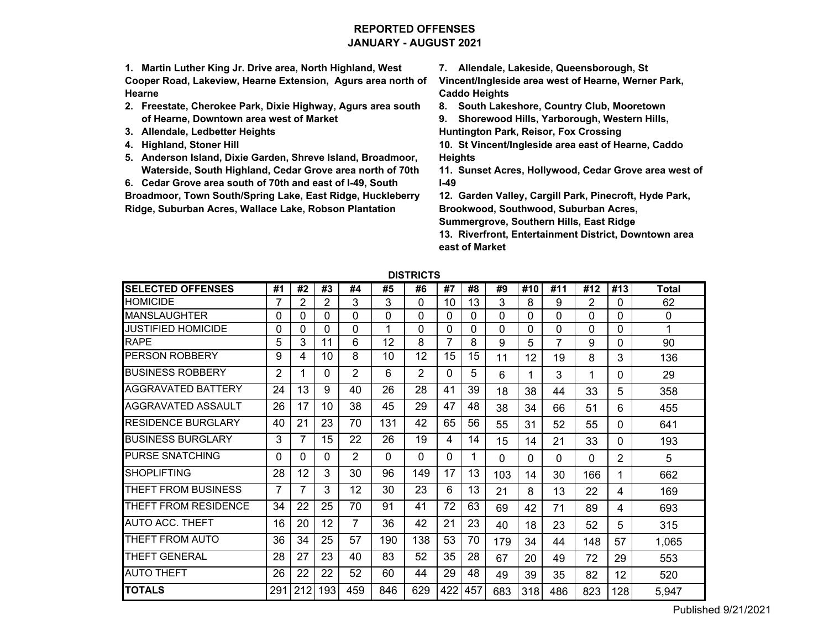# **REPORTED OFFENSESJANUARY - AUGUST 2021**

**1. Martin Luther King Jr. Drive area, North Highland, West Cooper Road, Lakeview, Hearne Extension, Agurs area north of Hearne**

- **2. Freestate, Cherokee Park, Dixie Highway, Agurs area south of Hearne, Downtown area west of Market**
- **3. Allendale, Ledbetter Heights**
- **4. Highland, Stoner Hill**
- **5. Anderson Island, Dixie Garden, Shreve Island, Broadmoor, Waterside, South Highland, Cedar Grove area north of 70th**

**6. Cedar Grove area south of 70th and east of I-49, South Broadmoor, Town South/Spring Lake, East Ridge, Huckleberry** 

**Ridge, Suburban Acres, Wallace Lake, Robson Plantation** 

**7. Allendale, Lakeside, Queensborough, St** 

**Vincent/Ingleside area west of Hearne, Werner Park, Caddo Heights**

**8. South Lakeshore, Country Club, Mooretown**

**9. Shorewood Hills, Yarborough, Western Hills, Huntington Park, Reisor, Fox Crossing**

**10. St Vincent/Ingleside area east of Hearne, Caddo Heights**

**11. Sunset Acres, Hollywood, Cedar Grove area west of I-49**

**12. Garden Valley, Cargill Park, Pinecroft, Hyde Park, Brookwood, Southwood, Suburban Acres,** 

**Summergrove, Southern Hills, East Ridge**

**13. Riverfront, Entertainment District, Downtown area east of Market**

| <b>SELECTED OFFENSES</b>  | #1  | #2  | #3       | #4             | #5       | #6  | #7  | #8  | #9       | #10 | #11      | #12            | #13      | <b>Total</b> |
|---------------------------|-----|-----|----------|----------------|----------|-----|-----|-----|----------|-----|----------|----------------|----------|--------------|
| <b>HOMICIDE</b>           | 7   | 2   | 2        | 3              | 3        | 0   | 10  | 13  | 3        | 8   | 9        | $\overline{2}$ | $\Omega$ | 62           |
| <b>MANSLAUGHTER</b>       | 0   | 0   | 0        | 0              | $\Omega$ | 0   | 0   | 0   | 0        | 0   | 0        | 0              | $\Omega$ | 0            |
| JUSTIFIED HOMICIDE        | 0   | 0   | 0        | 0              | 4        | 0   | 0   | 0   | 0        | 0   | 0        | 0              | 0        | 1            |
| <b>RAPE</b>               | 5   | 3   | 11       | 6              | 12       | 8   | 7   | 8   | 9        | 5   | 7        | 9              | 0        | 90           |
| PERSON ROBBERY            | 9   | 4   | 10       | 8              | 10       | 12  | 15  | 15  | 11       | 12  | 19       | 8              | 3        | 136          |
| BUSINESS ROBBERY          | 2   |     | 0        | $\overline{2}$ | 6        | 2   | 0   | 5   | 6        |     | 3        | 1              | 0        | 29           |
| <b>AGGRAVATED BATTERY</b> | 24  | 13  | 9        | 40             | 26       | 28  | 41  | 39  | 18       | 38  | 44       | 33             | 5        | 358          |
| AGGRAVATED ASSAULT        | 26  | 17  | 10       | 38             | 45       | 29  | 47  | 48  | 38       | 34  | 66       | 51             | 6        | 455          |
| <b>RESIDENCE BURGLARY</b> | 40  | 21  | 23       | 70             | 131      | 42  | 65  | 56  | 55       | 31  | 52       | 55             | 0        | 641          |
| <b>BUSINESS BURGLARY</b>  | 3   | 7   | 15       | 22             | 26       | 19  | 4   | 14  | 15       | 14  | 21       | 33             | 0        | 193          |
| <b>PURSE SNATCHING</b>    | 0   | 0   | $\Omega$ | 2              | $\Omega$ | 0   | 0   |     | $\Omega$ | 0   | $\Omega$ | $\Omega$       | 2        | 5            |
| <b>SHOPLIFTING</b>        | 28  | 12  | 3        | 30             | 96       | 149 | 17  | 13  | 103      | 14  | 30       | 166            | 1        | 662          |
| THEFT FROM BUSINESS       | 7   |     | 3        | 12             | 30       | 23  | 6   | 13  | 21       | 8   | 13       | 22             | 4        | 169          |
| THEFT FROM RESIDENCE      | 34  | 22  | 25       | 70             | 91       | 41  | 72  | 63  | 69       | 42  | 71       | 89             | 4        | 693          |
| <b>AUTO ACC. THEFT</b>    | 16  | 20  | 12       | $\overline{7}$ | 36       | 42  | 21  | 23  | 40       | 18  | 23       | 52             | 5        | 315          |
| THEFT FROM AUTO           | 36  | 34  | 25       | 57             | 190      | 138 | 53  | 70  | 179      | 34  | 44       | 148            | 57       | 1,065        |
| THEFT GENERAL             | 28  | 27  | 23       | 40             | 83       | 52  | 35  | 28  | 67       | 20  | 49       | 72             | 29       | 553          |
| <b>AUTO THEFT</b>         | 26  | 22  | 22       | 52             | 60       | 44  | 29  | 48  | 49       | 39  | 35       | 82             | 12       | 520          |
| <b>TOTALS</b>             | 291 | 212 | 193      | 459            | 846      | 629 | 422 | 457 | 683      | 318 | 486      | 823            | 128      | 5,947        |

**DISTRICTS**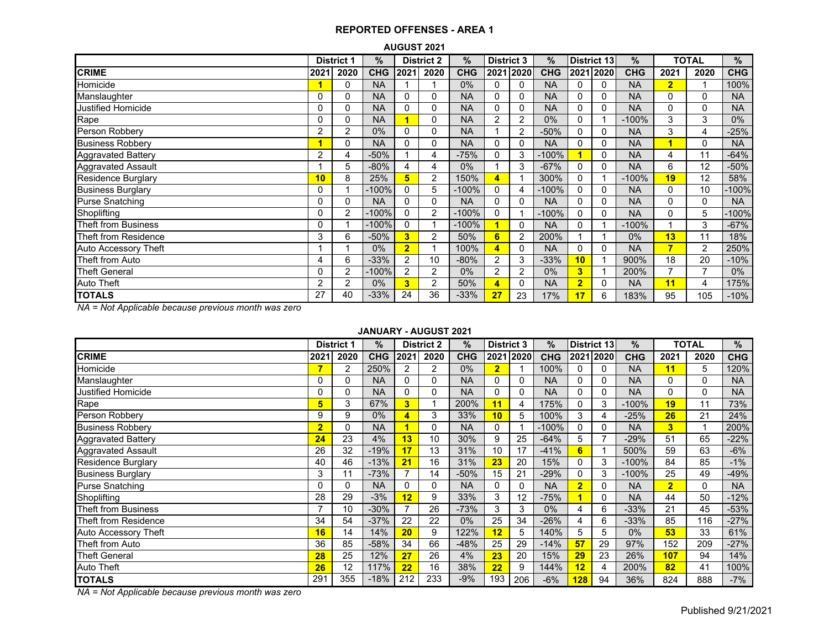| <b>AUGUST 2021</b> |  |
|--------------------|--|
|--------------------|--|

|                           |          | <b>District 1</b> | %          |                | <b>District 2</b> | $\%$       | <b>District 3</b>       |                | $\%$       |                | District 13 | $\%$       |                | <b>TOTAL</b> | %          |
|---------------------------|----------|-------------------|------------|----------------|-------------------|------------|-------------------------|----------------|------------|----------------|-------------|------------|----------------|--------------|------------|
| <b>CRIME</b>              | 2021     | 2020              | <b>CHG</b> | 2021           | 2020              | <b>CHG</b> | 2021                    | 2020           | <b>CHG</b> |                | 2021 2020   | <b>CHG</b> | 2021           | 2020         | <b>CHG</b> |
| Homicide                  |          | 0                 | <b>NA</b>  |                |                   | 0%         | 0                       | 0              | <b>NA</b>  | $\Omega$       | 0           | <b>NA</b>  | $\overline{2}$ |              | 100%       |
| Manslaughter              | 0        | 0                 | <b>NA</b>  | $\Omega$       | 0                 | <b>NA</b>  | 0                       | 0              | <b>NA</b>  | $\Omega$       | 0           | <b>NA</b>  | 0              | $\Omega$     | <b>NA</b>  |
| Justified Homicide        | 0        | 0                 | <b>NA</b>  | 0              | 0                 | <b>NA</b>  | 0                       | 0              | <b>NA</b>  | 0              | 0           | <b>NA</b>  | $\Omega$       | 0            | <b>NA</b>  |
| Rape                      | 0        | 0                 | <b>NA</b>  |                | 0                 | <b>NA</b>  | 2                       | 2              | 0%         | 0              |             | $-100%$    | 3              | 3            | $0\%$      |
| Person Robbery            | 2        | 2                 | 0%         | $\mathbf{0}$   | 0                 | <b>NA</b>  |                         | 2              | $-50%$     | 0              | 0           | <b>NA</b>  | 3              | 4            | $-25%$     |
| <b>Business Robbery</b>   |          | 0                 | <b>NA</b>  | $\mathbf{0}$   | $\Omega$          | <b>NA</b>  | $\Omega$                | 0              | <b>NA</b>  | 0              | 0           | <b>NA</b>  |                | $\Omega$     | <b>NA</b>  |
| Aggravated Battery        | 2        | 4                 | $-50%$     |                | 4                 | $-75%$     | 0                       | 3              | $-100%$    |                | 0           | <b>NA</b>  | 4              | 11           | $-64%$     |
| Aggravated Assault        |          | 5                 | $-80%$     | 4              | 4                 | 0%         |                         | 3              | $-67%$     | 0              | 0           | <b>NA</b>  | 6              | 12           | $-50%$     |
| <b>Residence Burglary</b> | 10       | 8                 | 25%        | 5              | $\overline{2}$    | 150%       | $\overline{4}$          |                | 300%       | $\Omega$       |             | $-100%$    | 19             | 12           | 58%        |
| <b>Business Burglary</b>  | 0        |                   | $-100%$    | 0              | 5                 | $-100%$    | $\mathbf{0}$            | 4              | $-100%$    | 0              | 0           | <b>NA</b>  | $\Omega$       | 10           | -100%      |
| <b>Purse Snatching</b>    | $\Omega$ | 0                 | <b>NA</b>  | $\Omega$       | $\Omega$          | <b>NA</b>  | $\Omega$                |                | <b>NA</b>  | 0              | 0           | <b>NA</b>  | $\Omega$       | $\Omega$     | <b>NA</b>  |
| Shoplifting               | 0        | $\overline{2}$    | $-100%$    | $\Omega$       | $\overline{2}$    | $-100%$    | $\Omega$                |                | $-100%$    | 0              | 0           | <b>NA</b>  | $\Omega$       | 5            | -100%      |
| Theft from Business       | 0        |                   | $-100%$    | $\Omega$       |                   | $-100%$    |                         | $\Omega$       | <b>NA</b>  | 0              |             | $-100%$    |                | 3            | $-67%$     |
| Theft from Residence      | 3        | 6                 | $-50%$     | 3              | 2                 | 50%        | 6                       | $\overline{2}$ | 200%       |                |             | 0%         | 13             | 11           | 18%        |
| Auto Accessory Theft      |          |                   | $0\%$      | $\overline{2}$ |                   | 100%       | $\overline{\mathbf{4}}$ | 0              | <b>NA</b>  | 0              | 0           | <b>NA</b>  | 7              | 2            | 250%       |
| Theft from Auto           | 4        | 6                 | $-33%$     | 2              | 10                | $-80%$     | 2                       | 3              | $-33%$     | 10             |             | 900%       | 18             | 20           | $-10%$     |
| <b>Theft General</b>      | 0        | 2                 | $-100%$    | $\overline{2}$ | 2                 | 0%         | 2                       | 2              | 0%         | 3              |             | 200%       |                |              | $0\%$      |
| <b>Auto Theft</b>         | 2        | $\overline{2}$    | $0\%$      | 3              | $\overline{2}$    | 50%        | $\overline{4}$          | 0              | <b>NA</b>  | $\overline{2}$ | 0           | <b>NA</b>  | 11             | 4            | 175%       |
| <b>TOTALS</b>             | 27       | 40                | $-33%$     | 24             | 36                | $-33%$     | 27                      | 23             | 17%        | 17             | 6           | 183%       | 95             | 105          | $-10%$     |

*NA = Not Applicable because previous month was zero*

#### **JANUARY - AUGUST 2021**

|                             |                | <b>District 1</b> | $\%$       |              | <b>District 2</b> | %          | <b>District 3</b> |           | $\%$       |                | District 13    | %          |                | <b>TOTAL</b> | $\%$       |
|-----------------------------|----------------|-------------------|------------|--------------|-------------------|------------|-------------------|-----------|------------|----------------|----------------|------------|----------------|--------------|------------|
| <b>CRIME</b>                | 2021           | 2020              | <b>CHG</b> | 2021         | 2020              | <b>CHG</b> |                   | 2021 2020 | <b>CHG</b> |                | 2021 2020      | <b>CHG</b> | 2021           | 2020         | <b>CHG</b> |
| Homicide                    | 7              | 2                 | 250%       | 2            | 2                 | 0%         | $\overline{2}$    |           | 100%       |                | 0              | <b>NA</b>  | 11             | 5            | 120%       |
| Manslaughter                | 0              | 0                 | <b>NA</b>  | $\Omega$     | 0                 | <b>NA</b>  | 0                 | 0         | <b>NA</b>  | 0              | 0              | <b>NA</b>  | 0              | 0            | <b>NA</b>  |
| Justified Homicide          | 0              | 0                 | <b>NA</b>  | $\mathbf{0}$ | 0                 | <b>NA</b>  | 0                 | 0         | <b>NA</b>  | 0              | 0              | <b>NA</b>  | 0              | $\Omega$     | <b>NA</b>  |
| Rape                        | 5              | 3                 | 67%        | 3            |                   | 200%       | 11                | 4         | 175%       | 0              | 3              | $-100%$    | 19             | 11           | 73%        |
| Person Robbery              | 9              | 9                 | $0\%$      | 4            | 3                 | 33%        | 10                | 5         | 100%       | 3              | 4              | $-25%$     | 26             | 21           | 24%        |
| <b>Business Robbery</b>     | $\overline{2}$ | 0                 | <b>NA</b>  |              | 0                 | <b>NA</b>  | 0                 |           | $-100%$    | $\Omega$       | 0              | <b>NA</b>  | 3              | 1            | 200%       |
| <b>Aggravated Battery</b>   | 24             | 23                | 4%         | 13           | 10                | 30%        | 9                 | 25        | $-64%$     | 5              | $\overline{7}$ | $-29%$     | 51             | 65           | $-22%$     |
| <b>Aggravated Assault</b>   | 26             | 32                | $-19%$     | 17           | 13                | 31%        | 10                | 17        | $-41%$     | 6              |                | 500%       | 59             | 63           | $-6%$      |
| <b>Residence Burglary</b>   | 40             | 46                | $-13%$     | 21           | 16                | 31%        | 23                | 20        | 15%        | $\Omega$       | 3              | $-100%$    | 84             | 85           | $-1%$      |
| <b>Business Burglary</b>    | 3              | 11                | $-73%$     |              | 14                | $-50%$     | 15                | 21        | $-29%$     | C              | 3              | $-100%$    | 25             | 49           | -49%       |
| <b>Purse Snatching</b>      | 0              | 0                 | <b>NA</b>  | $\Omega$     | 0                 | <b>NA</b>  | 0                 | 0         | <b>NA</b>  | $\overline{2}$ | 0              | <b>NA</b>  | $\overline{2}$ | 0            | <b>NA</b>  |
| Shoplifting                 | 28             | 29                | $-3%$      | 12           | 9                 | 33%        | 3                 | 12        | $-75%$     |                | 0              | <b>NA</b>  | 44             | 50           | $-12%$     |
| <b>Theft from Business</b>  |                | 10                | $-30%$     |              | 26                | $-73%$     | 3                 | 3         | 0%         | 4              | 6              | $-33%$     | 21             | 45           | $-53%$     |
| Theft from Residence        | 34             | 54                | $-37%$     | 22           | 22                | 0%         | 25                | 34        | $-26%$     | 4              | 6              | $-33%$     | 85             | 116          | $-27%$     |
| <b>Auto Accessory Theft</b> | 16             | 14                | 14%        | 20           | 9                 | 122%       | 12                | 5         | 140%       | 5              | 5              | 0%         | 53             | 33           | 61%        |
| Theft from Auto             | 36             | 85                | $-58%$     | 34           | 66                | $-48%$     | 25                | 29        | $-14%$     | 57             | 29             | 97%        | 152            | 209          | $-27%$     |
| <b>Theft General</b>        | 28             | 25                | 12%        | 27           | 26                | 4%         | 23                | 20        | 15%        | 29             | 23             | 26%        | 107            | 94           | 14%        |
| <b>Auto Theft</b>           | 26             | 12                | 117%       | 22           | 16                | 38%        | 22                | 9         | 144%       | 12             | 4              | 200%       | 82             | 41           | 100%       |
| <b>TOTALS</b>               | 291            | 355               | $-18%$     | 212          | 233               | $-9%$      | 193               | 206       | $-6%$      | 128            | 94             | 36%        | 824            | 888          | $-7%$      |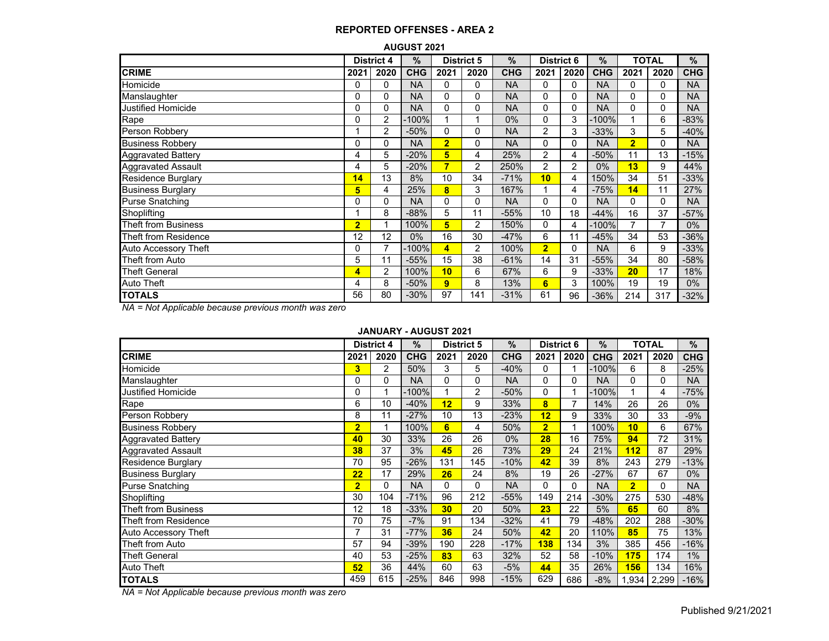#### **AUGUST 2021**

|                             |                | <b>District 4</b> | $\frac{9}{6}$ |                | <b>District 5</b> | $\frac{9}{6}$ | <b>District 6</b> |              | %          |                | TOTAL    | %          |
|-----------------------------|----------------|-------------------|---------------|----------------|-------------------|---------------|-------------------|--------------|------------|----------------|----------|------------|
| <b>CRIME</b>                | 2021           | 2020              | <b>CHG</b>    | 2021           | 2020              | <b>CHG</b>    | 2021              | 2020         | <b>CHG</b> | 2021           | 2020     | <b>CHG</b> |
| Homicide                    | 0              | 0                 | <b>NA</b>     | 0              | 0                 | <b>NA</b>     | 0                 | 0            | <b>NA</b>  | 0              | $\Omega$ | <b>NA</b>  |
| Manslaughter                | 0              | 0                 | <b>NA</b>     | 0              | 0                 | <b>NA</b>     | 0                 | 0            | <b>NA</b>  | $\Omega$       | $\Omega$ | <b>NA</b>  |
| <b>Justified Homicide</b>   | 0              | 0                 | <b>NA</b>     | 0              | 0                 | <b>NA</b>     | 0                 | 0            | <b>NA</b>  | 0              | 0        | <b>NA</b>  |
| Rape                        | 0              | $\overline{2}$    | $-100%$       |                |                   | $0\%$         | 0                 | 3            | -100%      |                | 6        | -83%       |
| Person Robbery              | 1              | $\overline{2}$    | $-50%$        | $\Omega$       | 0                 | <b>NA</b>     | 2                 | 3            | $-33%$     | 3              | 5        | $-40%$     |
| <b>Business Robbery</b>     | 0              | 0                 | <b>NA</b>     | $\overline{2}$ | 0                 | <b>NA</b>     | 0                 | 0            | <b>NA</b>  | $\overline{2}$ | $\Omega$ | <b>NA</b>  |
| <b>Aggravated Battery</b>   | 4              | 5                 | $-20%$        | 5              | 4                 | 25%           | 2                 | 4            | $-50%$     | 11             | 13       | $-15%$     |
| <b>Aggravated Assault</b>   | 4              | 5                 | $-20%$        | $\overline{7}$ | 2                 | 250%          | $\overline{2}$    | 2            | 0%         | 13             | 9        | 44%        |
| <b>Residence Burglary</b>   | 14             | 13                | 8%            | 10             | 34                | $-71%$        | 10                | 4            | 150%       | 34             | 51       | $-33%$     |
| <b>Business Burglary</b>    | 5              | 4                 | 25%           | 8              | 3                 | 167%          |                   | 4            | $-75%$     | 14             | 11       | 27%        |
| <b>Purse Snatching</b>      | 0              | 0                 | <b>NA</b>     | 0              | 0                 | <b>NA</b>     | 0                 | $\Omega$     | <b>NA</b>  | 0              | $\Omega$ | <b>NA</b>  |
| Shoplifting                 |                | 8                 | $-88%$        | 5              | 11                | $-55%$        | 10                | 18           | $-44%$     | 16             | 37       | $-57%$     |
| Theft from Business         | $\overline{2}$ |                   | 100%          | 5              | 2                 | 150%          | 0                 | 4            | -100%      |                |          | $0\%$      |
| Theft from Residence        | 12             | 12                | $0\%$         | 16             | 30                | $-47%$        | 6                 | 11           | $-45%$     | 34             | 53       | $-36%$     |
| <b>Auto Accessory Theft</b> | 0              | 7                 | $-100%$       | 4              | 2                 | 100%          | $\overline{2}$    | $\mathbf{0}$ | <b>NA</b>  | 6              | 9        | $-33%$     |
| Theft from Auto             | 5              | 11                | $-55%$        | 15             | 38                | $-61%$        | 14                | 31           | $-55%$     | 34             | 80       | -58%       |
| <b>Theft General</b>        | 4              | $\overline{2}$    | 100%          | 10             | 6                 | 67%           | 6                 | 9            | $-33%$     | 20             | 17       | 18%        |
| Auto Theft                  | 4              | 8                 | $-50%$        | 9              | 8                 | 13%           | 6                 | 3            | 100%       | 19             | 19       | $0\%$      |
| <b>TOTALS</b>               | 56             | 80                | $-30%$        | 97             | 141               | $-31%$        | 61                | 96           | $-36%$     | 214            | 317      | $-32\%$    |

*NA = Not Applicable because previous month was zero*

#### **JANUARY - AUGUST 2021**

|                            |                | <b>District 4</b> | %          |          | <b>District 5</b> | $\frac{0}{0}$ | <b>District 6</b> |              | $\%$       |                | <b>TOTAL</b> | %          |
|----------------------------|----------------|-------------------|------------|----------|-------------------|---------------|-------------------|--------------|------------|----------------|--------------|------------|
| <b>CRIME</b>               | 2021           | 2020              | <b>CHG</b> | 2021     | 2020              | <b>CHG</b>    | 2021              | 2020         | <b>CHG</b> | 2021           | 2020         | <b>CHG</b> |
| Homicide                   | 3              | 2                 | 50%        | 3        | 5                 | $-40%$        | 0                 |              | $-100%$    | 6              | 8            | $-25%$     |
| Manslaughter               | 0              | $\Omega$          | <b>NA</b>  | $\Omega$ | 0                 | <b>NA</b>     | 0                 | 0            | <b>NA</b>  | 0              | 0            | <b>NA</b>  |
| Justified Homicide         | 0              |                   | $-100%$    |          | 2                 | $-50%$        | 0                 |              | $-100%$    |                | 4            | $-75%$     |
| Rape                       | 6              | 10                | $-40%$     | 12       | 9                 | 33%           | 8                 | 7            | 14%        | 26             | 26           | $0\%$      |
| Person Robbery             | 8              | 11                | $-27%$     | 10       | 13                | $-23%$        | 12                | 9            | 33%        | 30             | 33           | $-9%$      |
| <b>Business Robbery</b>    | $\overline{2}$ |                   | 100%       | 6        | 4                 | 50%           | $\overline{2}$    |              | 100%       | 10             | 6            | 67%        |
| <b>Aggravated Battery</b>  | 40             | 30                | 33%        | 26       | 26                | 0%            | 28                | 16           | 75%        | 94             | 72           | 31%        |
| <b>Aggravated Assault</b>  | 38             | 37                | 3%         | 45       | 26                | 73%           | 29                | 24           | 21%        | 112            | 87           | 29%        |
| <b>Residence Burglary</b>  | 70             | 95                | $-26%$     | 131      | 145               | $-10%$        | 42                | 39           | 8%         | 243            | 279          | $-13%$     |
| <b>Business Burglary</b>   | 22             | 17                | 29%        | 26       | 24                | 8%            | 19                | 26           | $-27%$     | 67             | 67           | $0\%$      |
| <b>Purse Snatching</b>     | $\overline{2}$ | 0                 | <b>NA</b>  | 0        | 0                 | <b>NA</b>     | 0                 | $\mathbf{0}$ | <b>NA</b>  | $\overline{2}$ | 0            | <b>NA</b>  |
| Shoplifting                | 30             | 104               | $-71%$     | 96       | 212               | $-55%$        | 149               | 214          | $-30%$     | 275            | 530          | $-48%$     |
| <b>Theft from Business</b> | 12             | 18                | $-33%$     | 30       | 20                | 50%           | 23                | 22           | 5%         | 65             | 60           | 8%         |
| Theft from Residence       | 70             | 75                | $-7%$      | 91       | 134               | $-32%$        | 41                | 79           | $-48%$     | 202            | 288          | $-30%$     |
| Auto Accessory Theft       | 7              | 31                | $-77%$     | 36       | 24                | 50%           | 42                | 20           | 110%       | 85             | 75           | 13%        |
| Theft from Auto            | 57             | 94                | $-39%$     | 190      | 228               | $-17%$        | <b>138</b>        | 134          | 3%         | 385            | 456          | $-16%$     |
| <b>Theft General</b>       | 40             | 53                | $-25%$     | 83       | 63                | 32%           | 52                | 58           | $-10%$     | 175            | 174          | 1%         |
| <b>Auto Theft</b>          | 52             | 36                | 44%        | 60       | 63                | $-5%$         | 44                | 35           | 26%        | 156            | 134          | 16%        |
| <b>TOTALS</b>              | 459            | 615               | $-25%$     | 846      | 998               | $-15%$        | 629               | 686          | $-8%$      | 1,934          | 2,299        | $-16%$     |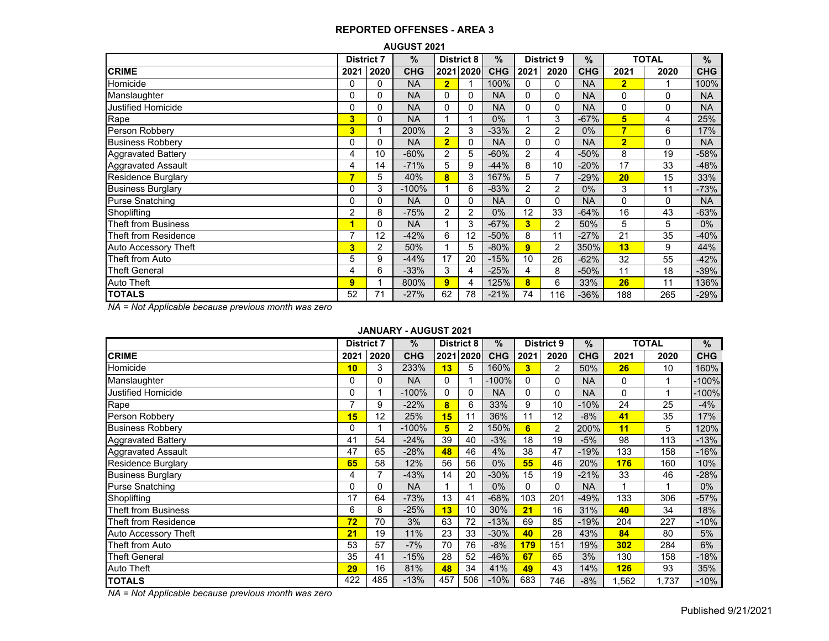|                            |                   |                | <b>AUGUST 2021</b> |                |                   |               |                |                   |            |                |              |            |
|----------------------------|-------------------|----------------|--------------------|----------------|-------------------|---------------|----------------|-------------------|------------|----------------|--------------|------------|
|                            | <b>District 7</b> |                | %                  |                | <b>District 8</b> | $\frac{9}{6}$ |                | <b>District 9</b> | $\%$       |                | <b>TOTAL</b> | %          |
| <b>CRIME</b>               | 2021              | 2020           | <b>CHG</b>         |                | 2021 2020         | <b>CHG</b>    | 2021           | 2020              | <b>CHG</b> | 2021           | 2020         | <b>CHG</b> |
| Homicide                   | 0                 | 0              | <b>NA</b>          | $\overline{2}$ |                   | 100%          | 0              | 0                 | <b>NA</b>  | $\overline{2}$ |              | 100%       |
| Manslaughter               | 0                 | 0              | <b>NA</b>          | $\Omega$       | 0                 | <b>NA</b>     | 0              | $\Omega$          | <b>NA</b>  | 0              | 0            | <b>NA</b>  |
| <b>Justified Homicide</b>  | 0                 | 0              | <b>NA</b>          | 0              | 0                 | <b>NA</b>     | 0              | 0                 | <b>NA</b>  | 0              | 0            | <b>NA</b>  |
| Rape                       | 3                 | 0              | <b>NA</b>          |                | 1                 | $0\%$         |                | 3                 | $-67%$     | 5              | 4            | 25%        |
| Person Robbery             | 3                 |                | 200%               | $\overline{2}$ | 3                 | $-33%$        | 2              | $\overline{2}$    | $0\%$      | 7              | 6            | 17%        |
| <b>Business Robbery</b>    | 0                 | 0              | <b>NA</b>          | $\overline{2}$ | 0                 | <b>NA</b>     | 0              | 0                 | <b>NA</b>  | $\overline{2}$ | 0            | <b>NA</b>  |
| Aggravated Battery         | 4                 | 10             | $-60%$             | 2              | 5                 | $-60%$        | 2              | 4                 | $-50%$     | 8              | 19           | $-58%$     |
| <b>Aggravated Assault</b>  | 4                 | 14             | $-71%$             | 5              | 9                 | $-44%$        | 8              | 10                | $-20%$     | 17             | 33           | $-48%$     |
| <b>Residence Burglary</b>  |                   | 5              | 40%                | 8              | 3                 | 167%          | 5              | 7                 | -29%       | 20             | 15           | 33%        |
| <b>Business Burglary</b>   | 0                 | 3              | $-100%$            |                | 6                 | $-83%$        | $\overline{c}$ | $\overline{2}$    | $0\%$      | 3              | 11           | $-73%$     |
| <b>Purse Snatching</b>     | 0                 | 0              | <b>NA</b>          | $\Omega$       | 0                 | <b>NA</b>     | 0              | 0                 | <b>NA</b>  | 0              | 0            | <b>NA</b>  |
| Shoplifting                | 2                 | 8              | $-75%$             | $\overline{2}$ | 2                 | $0\%$         | 12             | 33                | $-64%$     | 16             | 43           | $-63%$     |
| <b>Theft from Business</b> | и                 | 0              | <b>NA</b>          |                | 3                 | $-67%$        | 3              | $\overline{2}$    | 50%        | 5              | 5            | $0\%$      |
| Theft from Residence       | 7                 | 12             | $-42%$             | 6              | 12                | $-50%$        | 8              | 11                | $-27%$     | 21             | 35           | $-40%$     |
| Auto Accessory Theft       | 3                 | $\overline{2}$ | 50%                |                | 5                 | $-80%$        | 9              | $\overline{2}$    | 350%       | 13             | 9            | 44%        |
| Theft from Auto            | 5                 | 9              | -44%               | 17             | 20                | $-15%$        | 10             | 26                | $-62%$     | 32             | 55           | $-42%$     |
| <b>Theft General</b>       | 4                 | 6              | $-33%$             | 3              | 4                 | $-25%$        | 4              | 8                 | $-50%$     | 11             | 18           | $-39%$     |
| <b>Auto Theft</b>          | 9                 |                | 800%               | 9              | 4                 | 125%          | 8              | 6                 | 33%        | 26             | 11           | 136%       |
| <b>TOTALS</b>              | 52                | 71             | $-27%$             | 62             | 78                | $-21%$        | 74             | 116               | $-36%$     | 188            | 265          | $-29%$     |

*NA = Not Applicable because previous month was zero*

### **JANUARY - AUGUST 2021**

|                            | <b>District 7</b> |      | $\%$       |      | <b>District 8</b> | $\%$       |      | <b>District 9</b> | $\%$       |       | <b>TOTAL</b> | %          |
|----------------------------|-------------------|------|------------|------|-------------------|------------|------|-------------------|------------|-------|--------------|------------|
| <b>CRIME</b>               | 2021              | 2020 | <b>CHG</b> | 2021 | 2020              | <b>CHG</b> | 2021 | 2020              | <b>CHG</b> | 2021  | 2020         | <b>CHG</b> |
| Homicide                   | 10                | 3    | 233%       | 13   | 5                 | 160%       | 3    | 2                 | 50%        | 26    | 10           | 160%       |
| Manslaughter               | 0                 | 0    | <b>NA</b>  | 0    |                   | $-100%$    | 0    | 0                 | <b>NA</b>  | 0     |              | $-100%$    |
| <b>Justified Homicide</b>  | 0                 |      | $-100%$    | 0    | 0                 | <b>NA</b>  | 0    | 0                 | <b>NA</b>  | 0     |              | -100%      |
| Rape                       |                   | 9    | $-22%$     | 8    | 6                 | 33%        | 9    | 10                | $-10%$     | 24    | 25           | $-4%$      |
| Person Robbery             | 15                | 12   | 25%        | 15   | 11                | 36%        | 11   | 12                | $-8%$      | 41    | 35           | 17%        |
| <b>Business Robbery</b>    | 0                 |      | $-100%$    | 5    | 2                 | 150%       | 6    | 2                 | 200%       | 11    | 5            | 120%       |
| <b>Aggravated Battery</b>  | 41                | 54   | $-24%$     | 39   | 40                | $-3%$      | 18   | 19                | $-5%$      | 98    | 113          | $-13%$     |
| <b>Aggravated Assault</b>  | 47                | 65   | $-28%$     | 48   | 46                | 4%         | 38   | 47                | $-19%$     | 133   | 158          | $-16%$     |
| Residence Burglary         | 65                | 58   | 12%        | 56   | 56                | $0\%$      | 55   | 46                | 20%        | 176   | 160          | 10%        |
| <b>Business Burglary</b>   | 4                 | 7    | $-43%$     | 14   | 20                | $-30%$     | 15   | 19                | $-21%$     | 33    | 46           | $-28%$     |
| <b>Purse Snatching</b>     | 0                 | 0    | <b>NA</b>  | 1    |                   | $0\%$      | 0    | 0                 | <b>NA</b>  |       |              | $0\%$      |
| Shoplifting                | 17                | 64   | $-73%$     | 13   | 41                | $-68%$     | 103  | 201               | $-49%$     | 133   | 306          | $-57%$     |
| <b>Theft from Business</b> | 6                 | 8    | $-25%$     | 13   | 10                | 30%        | 21   | 16                | 31%        | 40    | 34           | 18%        |
| Theft from Residence       | 72                | 70   | 3%         | 63   | 72                | $-13%$     | 69   | 85                | $-19%$     | 204   | 227          | $-10%$     |
| Auto Accessory Theft       | 21                | 19   | 11%        | 23   | 33                | $-30%$     | 40   | 28                | 43%        | 84    | 80           | 5%         |
| Theft from Auto            | 53                | 57   | $-7%$      | 70   | 76                | $-8%$      | 179  | 151               | 19%        | 302   | 284          | 6%         |
| <b>Theft General</b>       | 35                | 41   | $-15%$     | 28   | 52                | $-46%$     | 67   | 65                | 3%         | 130   | 158          | $-18%$     |
| Auto Theft                 | 29                | 16   | 81%        | 48   | 34                | 41%        | 49   | 43                | 14%        | 126   | 93           | 35%        |
| <b>TOTALS</b>              | 422               | 485  | $-13%$     | 457  | 506               | $-10%$     | 683  | 746               | $-8%$      | 1,562 | 1,737        | $-10%$     |